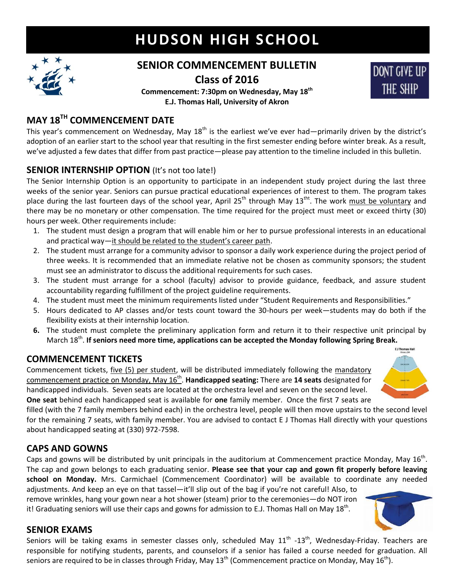# **HUDSON HIGH SCHOOL**



## **SENIOR COMMENCEMENT BULLETIN Class of 2016**

**Commencement: 7:30pm on Wednesday, May 18th E.J. Thomas Hall, University of Akron**

## **MAY 18TH COMMENCEMENT DATE**

This year's commencement on Wednesday, May  $18<sup>th</sup>$  is the earliest we've ever had—primarily driven by the district's adoption of an earlier start to the school year that resulting in the first semester ending before winter break. As a result, we've adjusted a few dates that differ from past practice—please pay attention to the timeline included in this bulletin.

#### **SENIOR INTERNSHIP OPTION** (It's not too late!)

The Senior Internship Option is an opportunity to participate in an independent study project during the last three weeks of the senior year. Seniors can pursue practical educational experiences of interest to them. The program takes place during the last fourteen days of the school year, April 25<sup>th</sup> through May 13<sup>tht</sup>. The work must be voluntary and there may be no monetary or other compensation. The time required for the project must meet or exceed thirty (30) hours per week. Other requirements include:

- 1. The student must design a program that will enable him or her to pursue professional interests in an educational and practical way—it should be related to the student's career path.
- 2. The student must arrange for a community advisor to sponsor a daily work experience during the project period of three weeks. It is recommended that an immediate relative not be chosen as community sponsors; the student must see an administrator to discuss the additional requirements for such cases.
- 3. The student must arrange for a school (faculty) advisor to provide guidance, feedback, and assure student accountability regarding fulfillment of the project guideline requirements.
- 4. The student must meet the minimum requirements listed under "Student Requirements and Responsibilities."
- 5. Hours dedicated to AP classes and/or tests count toward the 30-hours per week—students may do both if the flexibility exists at their internship location.
- **6.** The student must complete the preliminary application form and return it to their respective unit principal by March 18<sup>th</sup>. If seniors need more time, applications can be accepted the Monday following Spring Break.

## **COMMENCEMENT TICKETS**

Commencement tickets, five (5) per student, will be distributed immediately following the mandatory commencement practice on Monday, May 16th . **Handicapped seating:** There are **14 seats** designated for handicapped individuals. Seven seats are located at the orchestra level and seven on the second level. **One seat** behind each handicapped seat is available for **one** family member. Once the first 7 seats are



**DONT GIVE UP** 

THE SHIP

filled (with the 7 family members behind each) in the orchestra level, people will then move upstairs to the second level for the remaining 7 seats, with family member. You are advised to contact E J Thomas Hall directly with your questions about handicapped seating at (330) 972-7598.

## **CAPS AND GOWNS**

Caps and gowns will be distributed by unit principals in the auditorium at Commencement practice Monday, May  $16^{th}$ . The cap and gown belongs to each graduating senior. **Please see that your cap and gown fit properly before leaving school on Monday.** Mrs. Carmichael (Commencement Coordinator) will be available to coordinate any needed

adjustments. And keep an eye on that tassel—it'll slip out of the bag if you're not careful! Also, to remove wrinkles, hang your gown near a hot shower (steam) prior to the ceremonies—do NOT iron it! Graduating seniors will use their caps and gowns for admission to E.J. Thomas Hall on May 18<sup>th</sup>.



#### **SENIOR EXAMS**

Seniors will be taking exams in semester classes only, scheduled May  $11^{\text{th}}$  -13<sup>th</sup>, Wednesday-Friday. Teachers are responsible for notifying students, parents, and counselors if a senior has failed a course needed for graduation. All seniors are required to be in classes through Friday, May  $13^{th}$  (Commencement practice on Monday, May  $16^{th}$ ).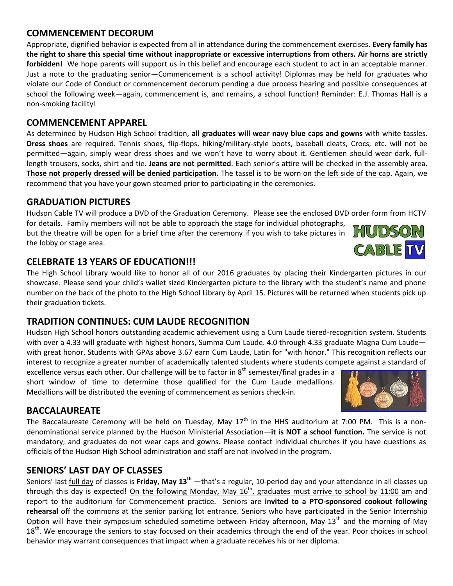#### **COMMENCEMENT DECORUM**

Appropriate, dignified behavior is expected from all in attendance during the commencement exercises**. Every family has the right to share this special time without inappropriate or excessive interruptions from others. Air horns are strictly forbidden!** We hope parents will support us in this belief and encourage each student to act in an acceptable manner. Just a note to the graduating senior—Commencement is a school activity! Diplomas may be held for graduates who violate our Code of Conduct or commencement decorum pending a due process hearing and possible consequences at school the following week—again, commencement is, and remains, a school function! Reminder: E.J. Thomas Hall is a non-smoking facility!

#### **COMMENCEMENT APPAREL**

As determined by Hudson High School tradition, **all graduates will wear navy blue caps and gowns** with white tassles. **Dress shoes** are required. Tennis shoes, flip-flops, hiking/military-style boots, baseball cleats, Crocs, etc. will not be permitted—again, simply wear dress shoes and we won't have to worry about it. Gentlemen should wear dark, fulllength trousers, socks, shirt and tie. **Jeans are not permitted**. Each senior's attire will be checked in the assembly area. **Those not properly dressed will be denied participation.** The tassel is to be worn on the left side of the cap. Again, we recommend that you have your gown steamed prior to participating in the ceremonies.

## **GRADUATION PICTURES**

Hudson Cable TV will produce a DVD of the Graduation Ceremony. Please see the enclosed DVD order form from HCTV

for details. Family members will not be able to approach the stage for individual photographs, but the theatre will be open for a brief time after the ceremony if you wish to take pictures in the lobby or stage area.

## **CELEBRATE 13 YEARS OF EDUCATION!!!**

The High School Library would like to honor all of our 2016 graduates by placing their Kindergarten pictures in our showcase. Please send your child's wallet sized Kindergarten picture to the library with the student's name and phone number on the back of the photo to the High School Library by April 15. Pictures will be returned when students pick up their graduation tickets.

## **TRADITION CONTINUES: CUM LAUDE RECOGNITION**

Hudson High School honors outstanding academic achievement using a Cum Laude tiered-recognition system. Students with over a 4.33 will graduate with highest honors, Summa Cum Laude. 4.0 through 4.33 graduate Magna Cum Laude with great honor. Students with GPAs above 3.67 earn Cum Laude, Latin for "with honor." This recognition reflects our interest to recognize a greater number of academically talented students where students compete against a standard of

excellence versus each other. Our challenge will be to factor in  $8<sup>th</sup>$  semester/final grades in a short window of time to determine those qualified for the Cum Laude medallions. Medallions will be distributed the evening of commencement as seniors check-in.

## **BACCALAUREATE**

The Baccalaureate Ceremony will be held on Tuesday, May  $17<sup>th</sup>$  in the HHS auditorium at 7:00 PM. This is a nondenominational service planned by the Hudson Ministerial Association—**it is NOT a school function.** The service is not mandatory, and graduates do not wear caps and gowns. Please contact individual churches if you have questions as officials of the Hudson High School administration and staff are not involved in the program.

## **SENIORS' LAST DAY OF CLASSES**

Seniors' last full day of classes is **Friday, May 13th** —that's a regular, 10-period day and your attendance in all classes up through this day is expected! <u>On the following Monday, May 16<sup>th</sup>, graduates must arrive to school by 11:00 am</u> and report to the auditorium for Commencement practice. Seniors are **invited to a PTO-sponsored cookout following rehearsal** off the commons at the senior parking lot entrance. Seniors who have participated in the Senior Internship Option will have their symposium scheduled sometime between Friday afternoon, May 13<sup>th</sup> and the morning of Mav  $18<sup>th</sup>$ . We encourage the seniors to stay focused on their academics through the end of the year. Poor choices in school behavior may warrant consequences that impact when a graduate receives his or her diploma.



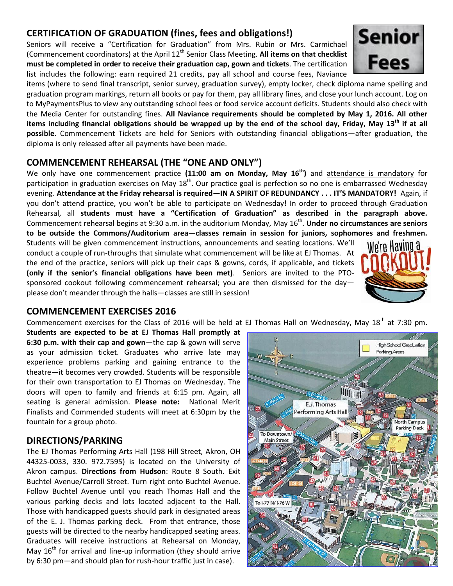#### **CERTIFICATION OF GRADUATION (fines, fees and obligations!)**

Seniors will receive a "Certification for Graduation" from Mrs. Rubin or Mrs. Carmichael (Commencement coordinators) at the April 12<sup>th</sup> Senior Class Meeting. **All items on that checklist must be completed in order to receive their graduation cap, gown and tickets**. The certification list includes the following: earn required 21 credits, pay all school and course fees, Naviance

items (where to send final transcript, senior survey, graduation survey), empty locker, check diploma name spelling and graduation program markings, return all books or pay for them, pay all library fines, and close your lunch account. Log on to MyPaymentsPlus to view any outstanding school fees or food service account deficits. Students should also check with the Media Center for outstanding fines. **All Naviance requirements should be completed by May 1, 2016. All other items including financial obligations should be wrapped up by the end of the school day, Friday, May 13 th if at all possible.** Commencement Tickets are held for Seniors with outstanding financial obligations—after graduation, the diploma is only released after all payments have been made.

#### **COMMENCEMENT REHEARSAL (THE "ONE AND ONLY")**

We only have one commencement practice **(11:00 am on Monday, May 16th )** and attendance is mandatory for participation in graduation exercises on May  $18^{th}$ . Our practice goal is perfection so no one is embarrassed Wednesday evening. **Attendance at the Friday rehearsal is required—IN A SPIRIT OF REDUNDANCY . . . IT'S MANDATORY!** Again, if you don't attend practice, you won't be able to participate on Wednesday! In order to proceed through Graduation Rehearsal, all **students must have a "Certification of Graduation" as described in the paragraph above.** Commencement rehearsal begins at 9:30 a.m. in the auditorium Monday, May 16<sup>th</sup>. **Under no circumstances are seniors to be outside the Commons/Auditorium area—classes remain in session for juniors, sophomores and freshmen.**

Students will be given commencement instructions, announcements and seating locations. We'll conduct a couple of run-throughs that simulate what commencement will be like at EJ Thomas. At the end of the practice, seniors will pick up their caps & gowns, cords, if applicable, and tickets **(only if the senior's financial obligations have been met)**. Seniors are invited to the PTOsponsored cookout following commencement rehearsal; you are then dismissed for the day please don't meander through the halls—classes are still in session!

#### **COMMENCEMENT EXERCISES 2016**

Commencement exercises for the Class of 2016 will be held at EJ Thomas Hall on Wednesday, May 18<sup>th</sup> at 7:30 pm.

**Students are expected to be at EJ Thomas Hall promptly at 6:30 p.m. with their cap and gown**—the cap & gown will serve as your admission ticket. Graduates who arrive late may experience problems parking and gaining entrance to the theatre—it becomes very crowded. Students will be responsible for their own transportation to EJ Thomas on Wednesday. The doors will open to family and friends at 6:15 pm. Again, all seating is general admission. **Please note:** National Merit Finalists and Commended students will meet at 6:30pm by the fountain for a group photo.

#### **DIRECTIONS/PARKING**

The EJ Thomas Performing Arts Hall (198 Hill Street, Akron, OH 44325-0033, 330. 972.7595) is located on the University of Akron campus. **Directions from Hudson**: Route 8 South. Exit Buchtel Avenue/Carroll Street. Turn right onto Buchtel Avenue. Follow Buchtel Avenue until you reach Thomas Hall and the various parking decks and lots located adjacent to the Hall. Those with handicapped guests should park in designated areas of the E. J. Thomas parking deck. From that entrance, those guests will be directed to the nearby handicapped seating areas. Graduates will receive instructions at Rehearsal on Monday, May  $16<sup>th</sup>$  for arrival and line-up information (they should arrive by 6:30 pm—and should plan for rush-hour traffic just in case).